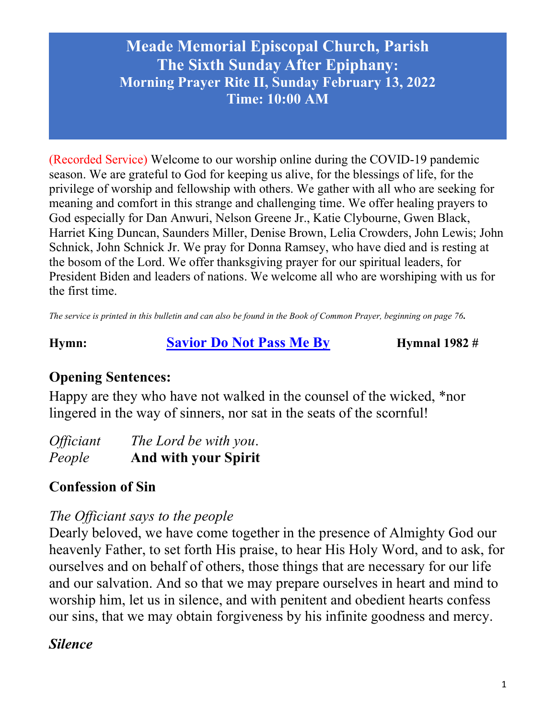(Recorded Service) Welcome to our worship online during the COVID-19 pandemic season. We are grateful to God for keeping us alive, for the blessings of life, for the privilege of worship and fellowship with others. We gather with all who are seeking for meaning and comfort in this strange and challenging time. We offer healing prayers to God especially for Dan Anwuri, Nelson Greene Jr., Katie Clybourne, Gwen Black, Harriet King Duncan, Saunders Miller, Denise Brown, Lelia Crowders, John Lewis; John Schnick, John Schnick Jr. We pray for Donna Ramsey, who have died and is resting at the bosom of the Lord. We offer thanksgiving prayer for our spiritual leaders, for President Biden and leaders of nations. We welcome all who are worshiping with us for the first time.

The service is printed in this bulletin and can also be found in the Book of Common Prayer, beginning on page 76.

Hymn: Savior Do Not Pass Me By Hymnal 1982 #

# Opening Sentences:

Happy are they who have not walked in the counsel of the wicked, \*nor lingered in the way of sinners, nor sat in the seats of the scornful!

| <i><b>Officiant</b></i> | The Lord be with you.       |
|-------------------------|-----------------------------|
| People                  | <b>And with your Spirit</b> |

# Confession of Sin

## The Officiant says to the people

Dearly beloved, we have come together in the presence of Almighty God our heavenly Father, to set forth His praise, to hear His Holy Word, and to ask, for ourselves and on behalf of others, those things that are necessary for our life and our salvation. And so that we may prepare ourselves in heart and mind to worship him, let us in silence, and with penitent and obedient hearts confess our sins, that we may obtain forgiveness by his infinite goodness and mercy.

## Silence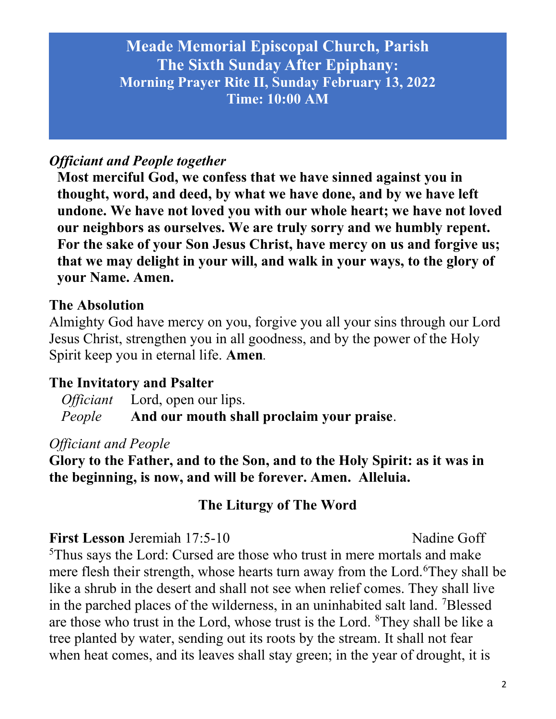### Officiant and People together

Most merciful God, we confess that we have sinned against you in thought, word, and deed, by what we have done, and by we have left undone. We have not loved you with our whole heart; we have not loved our neighbors as ourselves. We are truly sorry and we humbly repent. For the sake of your Son Jesus Christ, have mercy on us and forgive us; that we may delight in your will, and walk in your ways, to the glory of your Name. Amen.

#### The Absolution

Almighty God have mercy on you, forgive you all your sins through our Lord Jesus Christ, strengthen you in all goodness, and by the power of the Holy Spirit keep you in eternal life. Amen.

### The Invitatory and Psalter

Officiant Lord, open our lips. People And our mouth shall proclaim your praise.

#### Officiant and People

Glory to the Father, and to the Son, and to the Holy Spirit: as it was in the beginning, is now, and will be forever. Amen. Alleluia.

### The Liturgy of The Word

#### First Lesson Jeremiah 17:5-10 Nadine Goff

<sup>5</sup>Thus says the Lord: Cursed are those who trust in mere mortals and make mere flesh their strength, whose hearts turn away from the Lord.<sup>6</sup>They shall be like a shrub in the desert and shall not see when relief comes. They shall live in the parched places of the wilderness, in an uninhabited salt land. <sup>7</sup>Blessed are those who trust in the Lord, whose trust is the Lord. <sup>8</sup>They shall be like a tree planted by water, sending out its roots by the stream. It shall not fear when heat comes, and its leaves shall stay green; in the year of drought, it is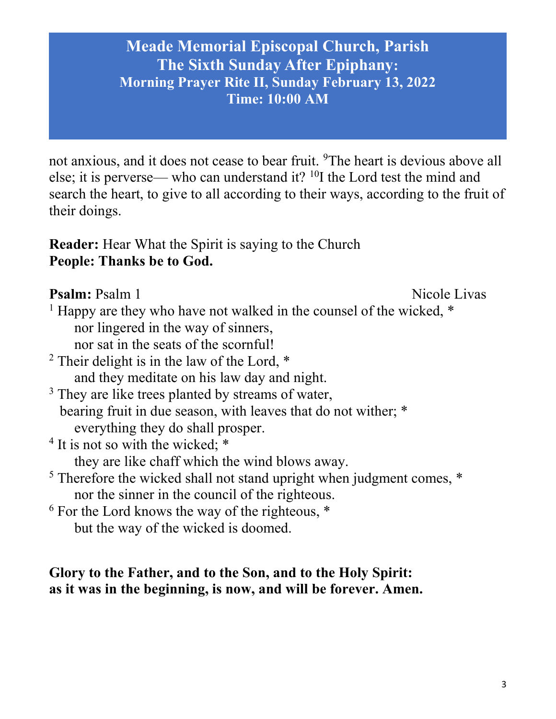not anxious, and it does not cease to bear fruit. <sup>9</sup>The heart is devious above all else; it is perverse— who can understand it?  $^{10}$ I the Lord test the mind and search the heart, to give to all according to their ways, according to the fruit of their doings.

Reader: Hear What the Spirit is saying to the Church People: Thanks be to God.

**Psalm:** Psalm 1 Nicole Livas

- <sup>1</sup> Happy are they who have not walked in the counsel of the wicked,  $*$  nor lingered in the way of sinners,
	- nor sat in the seats of the scornful!
- <sup>2</sup> Their delight is in the law of the Lord,  $*$ and they meditate on his law day and night.
- <sup>3</sup> They are like trees planted by streams of water, bearing fruit in due season, with leaves that do not wither; \* everything they do shall prosper.
- <sup>4</sup> It is not so with the wicked; \*

they are like chaff which the wind blows away.

- <sup>5</sup> Therefore the wicked shall not stand upright when judgment comes,  $*$ nor the sinner in the council of the righteous.
- $6$  For the Lord knows the way of the righteous,  $*$ but the way of the wicked is doomed.

## Glory to the Father, and to the Son, and to the Holy Spirit: as it was in the beginning, is now, and will be forever. Amen.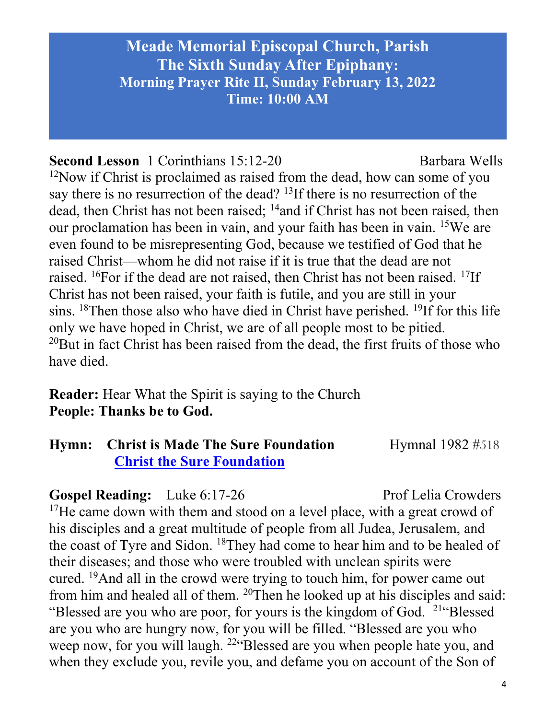### Second Lesson 1 Corinthians 15:12-20 Barbara Wells

 $12$ Now if Christ is proclaimed as raised from the dead, how can some of you say there is no resurrection of the dead? <sup>13</sup>If there is no resurrection of the dead, then Christ has not been raised; <sup>14</sup>and if Christ has not been raised, then our proclamation has been in vain, and your faith has been in vain. <sup>15</sup>We are even found to be misrepresenting God, because we testified of God that he raised Christ—whom he did not raise if it is true that the dead are not raised. <sup>16</sup>For if the dead are not raised, then Christ has not been raised. <sup>17</sup>If Christ has not been raised, your faith is futile, and you are still in your sins.  $18$ Then those also who have died in Christ have perished.  $19$ If for this life only we have hoped in Christ, we are of all people most to be pitied.  $20$ But in fact Christ has been raised from the dead, the first fruits of those who have died.

Reader: Hear What the Spirit is saying to the Church People: Thanks be to God.

## Hymn: Christ is Made The Sure Foundation Hymnal 1982 #518 Christ the Sure Foundation

### Gospel Reading: Luke 6:17-26 Prof Lelia Crowders

 $17$ He came down with them and stood on a level place, with a great crowd of his disciples and a great multitude of people from all Judea, Jerusalem, and the coast of Tyre and Sidon. <sup>18</sup>They had come to hear him and to be healed of their diseases; and those who were troubled with unclean spirits were cured. <sup>19</sup>And all in the crowd were trying to touch him, for power came out from him and healed all of them. <sup>20</sup>Then he looked up at his disciples and said: "Blessed are you who are poor, for yours is the kingdom of God. <sup>21"</sup>Blessed are you who are hungry now, for you will be filled. "Blessed are you who weep now, for you will laugh. <sup>22</sup>"Blessed are you when people hate you, and when they exclude you, revile you, and defame you on account of the Son of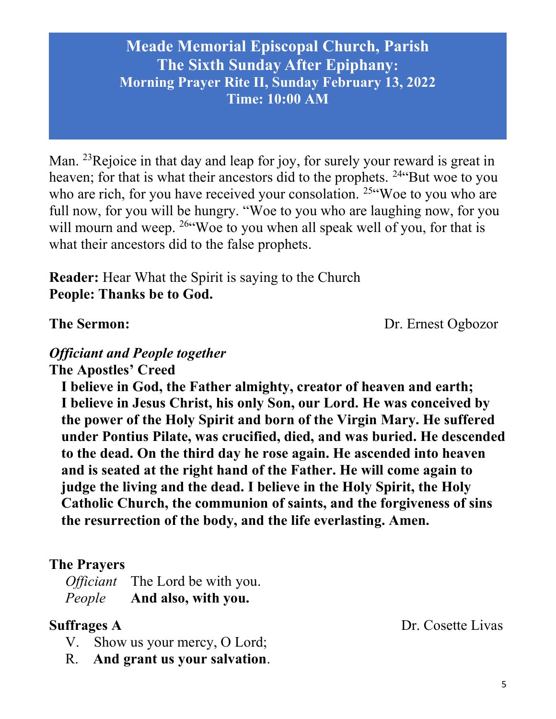Man. <sup>23</sup>Rejoice in that day and leap for joy, for surely your reward is great in heaven; for that is what their ancestors did to the prophets. <sup>24"</sup>But woe to you who are rich, for you have received your consolation. <sup>25"</sup>Woe to you who are full now, for you will be hungry. "Woe to you who are laughing now, for you will mourn and weep. <sup>26"</sup>Woe to you when all speak well of you, for that is what their ancestors did to the false prophets.

Reader: Hear What the Spirit is saying to the Church People: Thanks be to God.

The Sermon: Dr. Ernest Ogbozor

# Officiant and People together

The Apostles' Creed

I believe in God, the Father almighty, creator of heaven and earth; I believe in Jesus Christ, his only Son, our Lord. He was conceived by the power of the Holy Spirit and born of the Virgin Mary. He suffered under Pontius Pilate, was crucified, died, and was buried. He descended to the dead. On the third day he rose again. He ascended into heaven and is seated at the right hand of the Father. He will come again to judge the living and the dead. I believe in the Holy Spirit, the Holy Catholic Church, the communion of saints, and the forgiveness of sins the resurrection of the body, and the life everlasting. Amen.

### The Prayers

Officiant The Lord be with you. People And also, with you.

- V. Show us your mercy, O Lord;
- R. And grant us your salvation.

Suffrages A Dr. Cosette Livas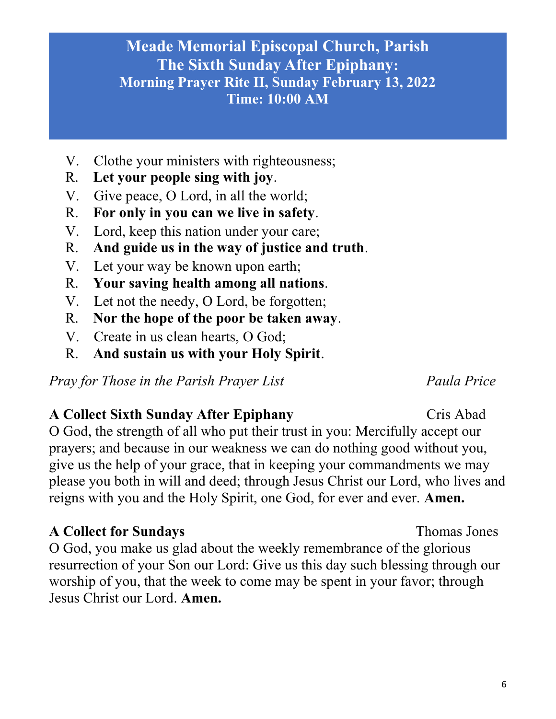6

# Meade Memorial Episcopal Church, Parish The Sixth Sunday After Epiphany: Morning Prayer Rite II, Sunday February 13, 2022 Time: 10:00 AM

- V. Clothe your ministers with righteousness;
- R. Let your people sing with joy.
- V. Give peace, O Lord, in all the world;
- R. For only in you can we live in safety.
- V. Lord, keep this nation under your care;
- R. And guide us in the way of justice and truth.
- V. Let your way be known upon earth;
- R. Your saving health among all nations.
- V. Let not the needy, O Lord, be forgotten;
- R. Nor the hope of the poor be taken away.
- V. Create in us clean hearts, O God;
- R. And sustain us with your Holy Spirit.

Pray for Those in the Parish Prayer List France Paula Price

# A Collect Sixth Sunday After Epiphany Cris Abad

O God, the strength of all who put their trust in you: Mercifully accept our prayers; and because in our weakness we can do nothing good without you, give us the help of your grace, that in keeping your commandments we may please you both in will and deed; through Jesus Christ our Lord, who lives and reigns with you and the Holy Spirit, one God, for ever and ever. Amen.

# A Collect for Sundays Thomas Jones

O God, you make us glad about the weekly remembrance of the glorious resurrection of your Son our Lord: Give us this day such blessing through our worship of you, that the week to come may be spent in your favor; through Jesus Christ our Lord. Amen.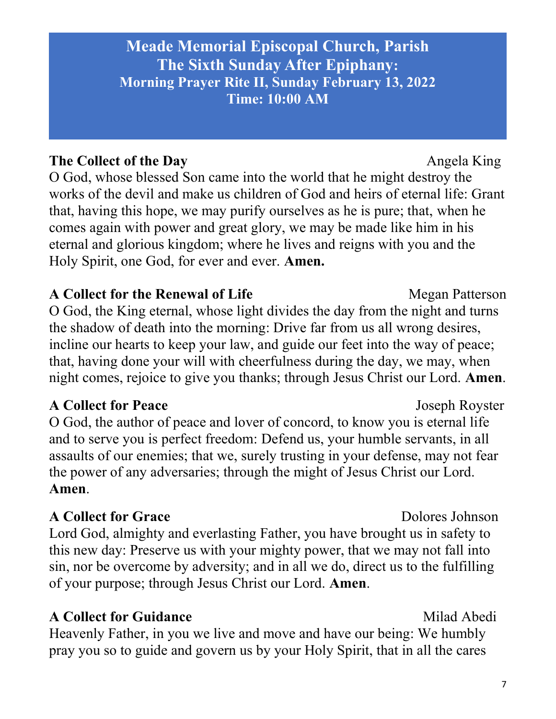# The Collect of the Day Angela King

O God, whose blessed Son came into the world that he might destroy the works of the devil and make us children of God and heirs of eternal life: Grant that, having this hope, we may purify ourselves as he is pure; that, when he comes again with power and great glory, we may be made like him in his eternal and glorious kingdom; where he lives and reigns with you and the Holy Spirit, one God, for ever and ever. Amen.

## A Collect for the Renewal of Life Megan Patterson

O God, the King eternal, whose light divides the day from the night and turns the shadow of death into the morning: Drive far from us all wrong desires, incline our hearts to keep your law, and guide our feet into the way of peace; that, having done your will with cheerfulness during the day, we may, when night comes, rejoice to give you thanks; through Jesus Christ our Lord. Amen.

## A Collect for Peace Joseph Royster

O God, the author of peace and lover of concord, to know you is eternal life and to serve you is perfect freedom: Defend us, your humble servants, in all assaults of our enemies; that we, surely trusting in your defense, may not fear the power of any adversaries; through the might of Jesus Christ our Lord. Amen.

# A Collect for Grace Dolores Johnson

Lord God, almighty and everlasting Father, you have brought us in safety to this new day: Preserve us with your mighty power, that we may not fall into sin, nor be overcome by adversity; and in all we do, direct us to the fulfilling of your purpose; through Jesus Christ our Lord. Amen.

# A Collect for Guidance Milad Abedi

Heavenly Father, in you we live and move and have our being: We humbly pray you so to guide and govern us by your Holy Spirit, that in all the cares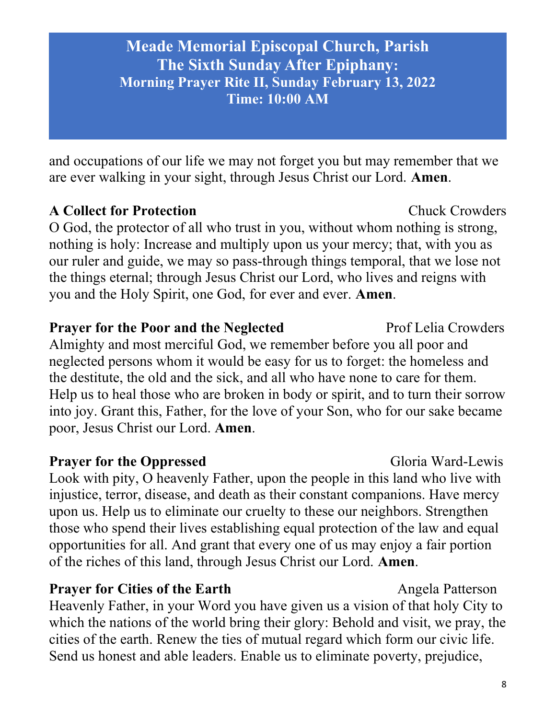and occupations of our life we may not forget you but may remember that we are ever walking in your sight, through Jesus Christ our Lord. Amen.

## A Collect for Protection **Chuck Crowders**

O God, the protector of all who trust in you, without whom nothing is strong, nothing is holy: Increase and multiply upon us your mercy; that, with you as our ruler and guide, we may so pass-through things temporal, that we lose not the things eternal; through Jesus Christ our Lord, who lives and reigns with you and the Holy Spirit, one God, for ever and ever. Amen.

**Prayer for the Poor and the Neglected Prof Lelia Crowders** Almighty and most merciful God, we remember before you all poor and neglected persons whom it would be easy for us to forget: the homeless and the destitute, the old and the sick, and all who have none to care for them. Help us to heal those who are broken in body or spirit, and to turn their sorrow into joy. Grant this, Father, for the love of your Son, who for our sake became poor, Jesus Christ our Lord. Amen.

# **Prayer for the Oppressed Gloria Ward-Lewis** Look with pity, O heavenly Father, upon the people in this land who live with injustice, terror, disease, and death as their constant companions. Have mercy upon us. Help us to eliminate our cruelty to these our neighbors. Strengthen those who spend their lives establishing equal protection of the law and equal opportunities for all. And grant that every one of us may enjoy a fair portion of the riches of this land, through Jesus Christ our Lord. Amen.

**Prayer for Cities of the Earth** Angela Patterson Heavenly Father, in your Word you have given us a vision of that holy City to which the nations of the world bring their glory: Behold and visit, we pray, the cities of the earth. Renew the ties of mutual regard which form our civic life. Send us honest and able leaders. Enable us to eliminate poverty, prejudice,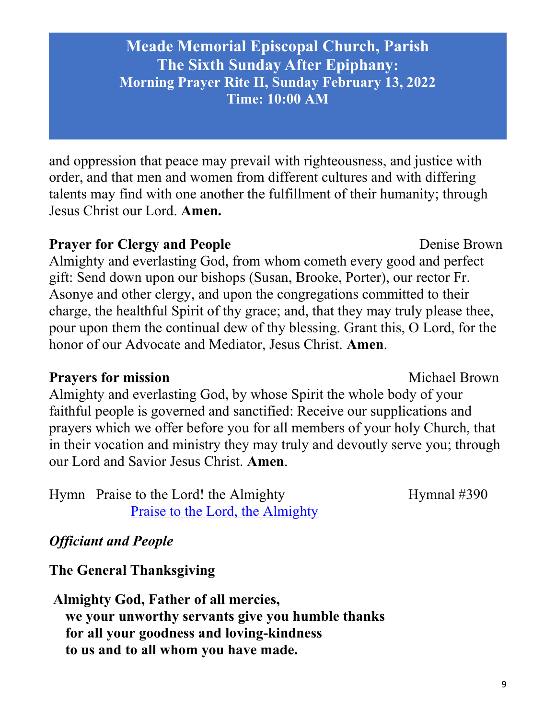9

Meade Memorial Episcopal Church, Parish The Sixth Sunday After Epiphany: Morning Prayer Rite II, Sunday February 13, 2022 Time: 10:00 AM

and oppression that peace may prevail with righteousness, and justice with order, and that men and women from different cultures and with differing talents may find with one another the fulfillment of their humanity; through Jesus Christ our Lord. Amen.

### **Prayer for Clergy and People Denise Brown**

Almighty and everlasting God, from whom cometh every good and perfect gift: Send down upon our bishops (Susan, Brooke, Porter), our rector Fr. Asonye and other clergy, and upon the congregations committed to their charge, the healthful Spirit of thy grace; and, that they may truly please thee, pour upon them the continual dew of thy blessing. Grant this, O Lord, for the honor of our Advocate and Mediator, Jesus Christ. Amen.

### **Prayers for mission** Michael Brown

Almighty and everlasting God, by whose Spirit the whole body of your faithful people is governed and sanctified: Receive our supplications and prayers which we offer before you for all members of your holy Church, that in their vocation and ministry they may truly and devoutly serve you; through our Lord and Savior Jesus Christ. Amen.

Hymn Praise to the Lord! the Almighty Hymnal #390 Praise to the Lord, the Almighty

Officiant and People

The General Thanksgiving

Almighty God, Father of all mercies, we your unworthy servants give you humble thanks for all your goodness and loving-kindness to us and to all whom you have made.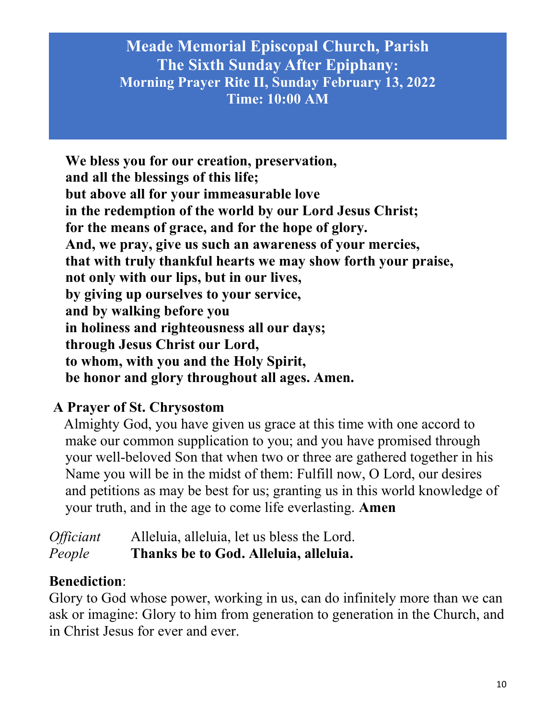We bless you for our creation, preservation, and all the blessings of this life; but above all for your immeasurable love in the redemption of the world by our Lord Jesus Christ; for the means of grace, and for the hope of glory. And, we pray, give us such an awareness of your mercies, that with truly thankful hearts we may show forth your praise, not only with our lips, but in our lives, by giving up ourselves to your service, and by walking before you in holiness and righteousness all our days; through Jesus Christ our Lord, to whom, with you and the Holy Spirit, be honor and glory throughout all ages. Amen.

# A Prayer of St. Chrysostom

 Almighty God, you have given us grace at this time with one accord to make our common supplication to you; and you have promised through your well-beloved Son that when two or three are gathered together in his Name you will be in the midst of them: Fulfill now, O Lord, our desires and petitions as may be best for us; granting us in this world knowledge of your truth, and in the age to come life everlasting. Amen

Officiant Alleluia, alleluia, let us bless the Lord. People Thanks be to God. Alleluia, alleluia.

## Benediction:

Glory to God whose power, working in us, can do infinitely more than we can ask or imagine: Glory to him from generation to generation in the Church, and in Christ Jesus for ever and ever.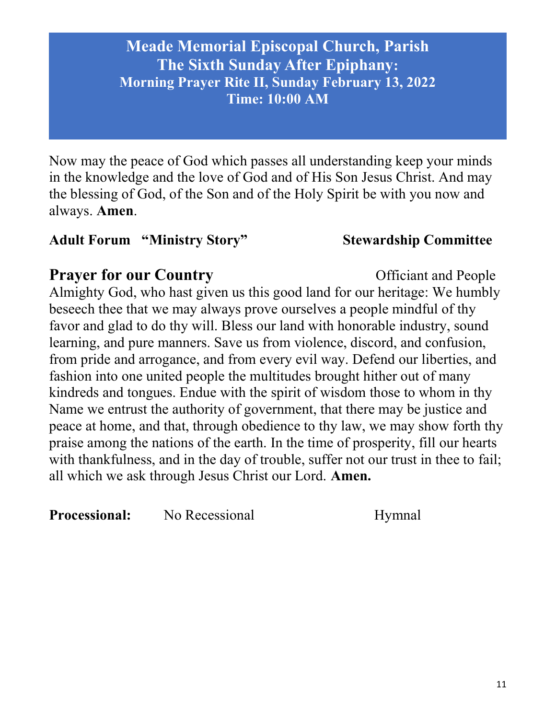Now may the peace of God which passes all understanding keep your minds in the knowledge and the love of God and of His Son Jesus Christ. And may the blessing of God, of the Son and of the Holy Spirit be with you now and always. Amen.

## Adult Forum "Ministry Story" Stewardship Committee

# **Prayer for our Country** Conservation Conservation Conservation Conservation Conservation Conservation Conservation Conservation Conservation Conservation Conservation Conservation Conservation Conservation Conservation Co

Almighty God, who hast given us this good land for our heritage: We humbly beseech thee that we may always prove ourselves a people mindful of thy favor and glad to do thy will. Bless our land with honorable industry, sound learning, and pure manners. Save us from violence, discord, and confusion, from pride and arrogance, and from every evil way. Defend our liberties, and fashion into one united people the multitudes brought hither out of many kindreds and tongues. Endue with the spirit of wisdom those to whom in thy Name we entrust the authority of government, that there may be justice and peace at home, and that, through obedience to thy law, we may show forth thy praise among the nations of the earth. In the time of prosperity, fill our hearts with thankfulness, and in the day of trouble, suffer not our trust in thee to fail; all which we ask through Jesus Christ our Lord. Amen.

**Processional:** No Recessional Hymnal